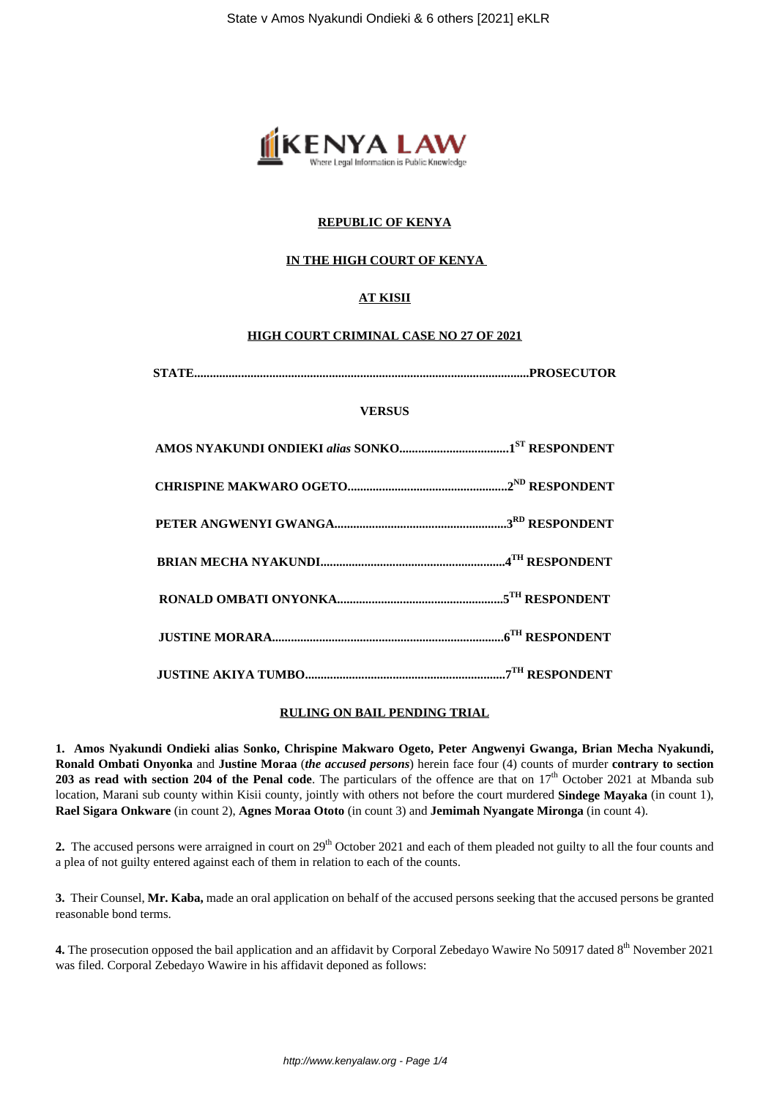

# **REPUBLIC OF KENYA**

### **IN THE HIGH COURT OF KENYA**

## **AT KISII**

#### **HIGH COURT CRIMINAL CASE NO 27 OF 2021**

| <b>VERSUS</b> |  |
|---------------|--|
|               |  |
|               |  |
|               |  |
|               |  |
|               |  |
|               |  |
|               |  |

#### **RULING ON BAIL PENDING TRIAL**

**1. Amos Nyakundi Ondieki alias Sonko, Chrispine Makwaro Ogeto, Peter Angwenyi Gwanga, Brian Mecha Nyakundi, Ronald Ombati Onyonka** and **Justine Moraa** (*the accused persons*) herein face four (4) counts of murder **contrary to section 203 as read with section 204 of the Penal code.** The particulars of the offence are that on 17<sup>th</sup> October 2021 at Mbanda sub location, Marani sub county within Kisii county, jointly with others not before the court murdered **Sindege Mayaka** (in count 1), **Rael Sigara Onkware** (in count 2), **Agnes Moraa Ototo** (in count 3) and **Jemimah Nyangate Mironga** (in count 4).

**2.** The accused persons were arraigned in court on 29<sup>th</sup> October 2021 and each of them pleaded not guilty to all the four counts and a plea of not guilty entered against each of them in relation to each of the counts.

**3.** Their Counsel, **Mr. Kaba,** made an oral application on behalf of the accused persons seeking that the accused persons be granted reasonable bond terms.

**4.** The prosecution opposed the bail application and an affidavit by Corporal Zebedayo Wawire No 50917 dated 8<sup>th</sup> November 2021 was filed. Corporal Zebedayo Wawire in his affidavit deponed as follows: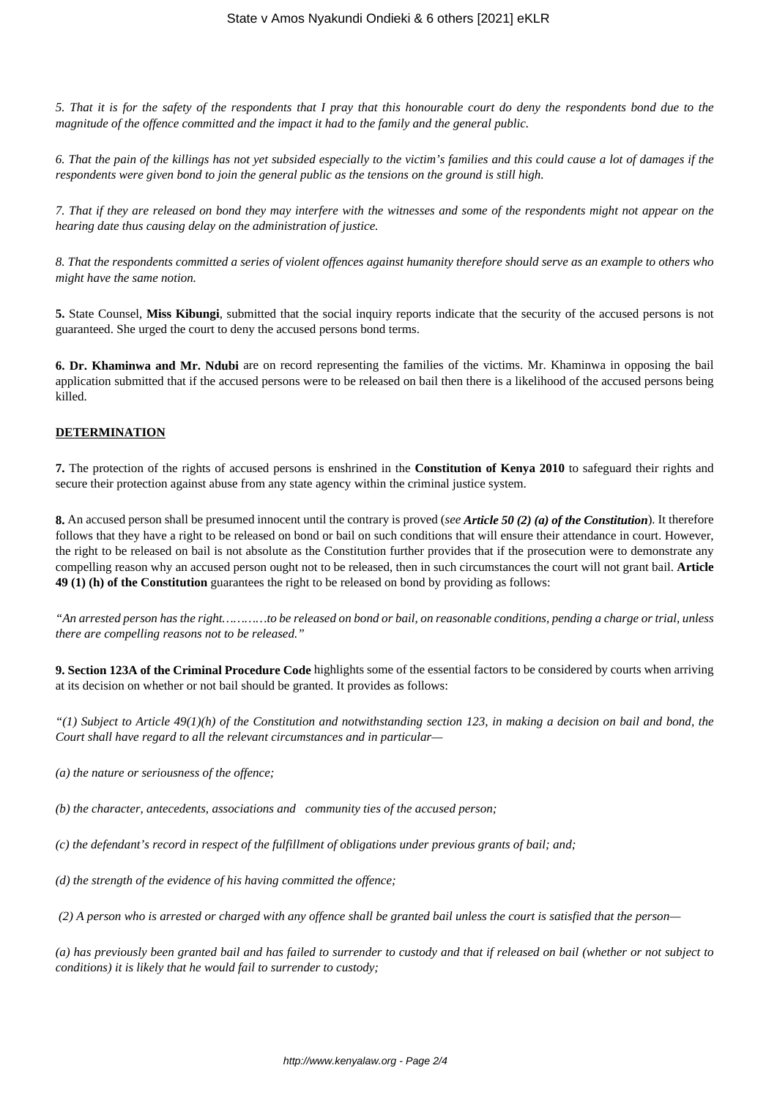*5. That it is for the safety of the respondents that I pray that this honourable court do deny the respondents bond due to the magnitude of the offence committed and the impact it had to the family and the general public.*

*6. That the pain of the killings has not yet subsided especially to the victim's families and this could cause a lot of damages if the respondents were given bond to join the general public as the tensions on the ground is still high.*

*7. That if they are released on bond they may interfere with the witnesses and some of the respondents might not appear on the hearing date thus causing delay on the administration of justice.*

*8. That the respondents committed a series of violent offences against humanity therefore should serve as an example to others who might have the same notion.*

**5.** State Counsel, **Miss Kibungi**, submitted that the social inquiry reports indicate that the security of the accused persons is not guaranteed. She urged the court to deny the accused persons bond terms.

**6. Dr. Khaminwa and Mr. Ndubi** are on record representing the families of the victims. Mr. Khaminwa in opposing the bail application submitted that if the accused persons were to be released on bail then there is a likelihood of the accused persons being killed.

### **DETERMINATION**

**7.** The protection of the rights of accused persons is enshrined in the **Constitution of Kenya 2010** to safeguard their rights and secure their protection against abuse from any state agency within the criminal justice system.

**8.** An accused person shall be presumed innocent until the contrary is proved (*see Article 50 (2) (a) of the Constitution*). It therefore follows that they have a right to be released on bond or bail on such conditions that will ensure their attendance in court. However, the right to be released on bail is not absolute as the Constitution further provides that if the prosecution were to demonstrate any compelling reason why an accused person ought not to be released, then in such circumstances the court will not grant bail. **Article 49 (1) (h) of the Constitution** guarantees the right to be released on bond by providing as follows:

*"An arrested person has the right…………to be released on bond or bail, on reasonable conditions, pending a charge or trial, unless there are compelling reasons not to be released."*

**9. Section 123A of the Criminal Procedure Code** highlights some of the essential factors to be considered by courts when arriving at its decision on whether or not bail should be granted. It provides as follows:

*"(1) Subject to Article 49(1)(h) of the Constitution and notwithstanding section 123, in making a decision on bail and bond, the Court shall have regard to all the relevant circumstances and in particular—*

*(a) the nature or seriousness of the offence;*

*(b) the character, antecedents, associations and community ties of the accused person;*

*(c) the defendant's record in respect of the fulfillment of obligations under previous grants of bail; and;*

*(d) the strength of the evidence of his having committed the offence;*

*(2) A person who is arrested or charged with any offence shall be granted bail unless the court is satisfied that the person—*

*(a) has previously been granted bail and has failed to surrender to custody and that if released on bail (whether or not subject to conditions) it is likely that he would fail to surrender to custody;*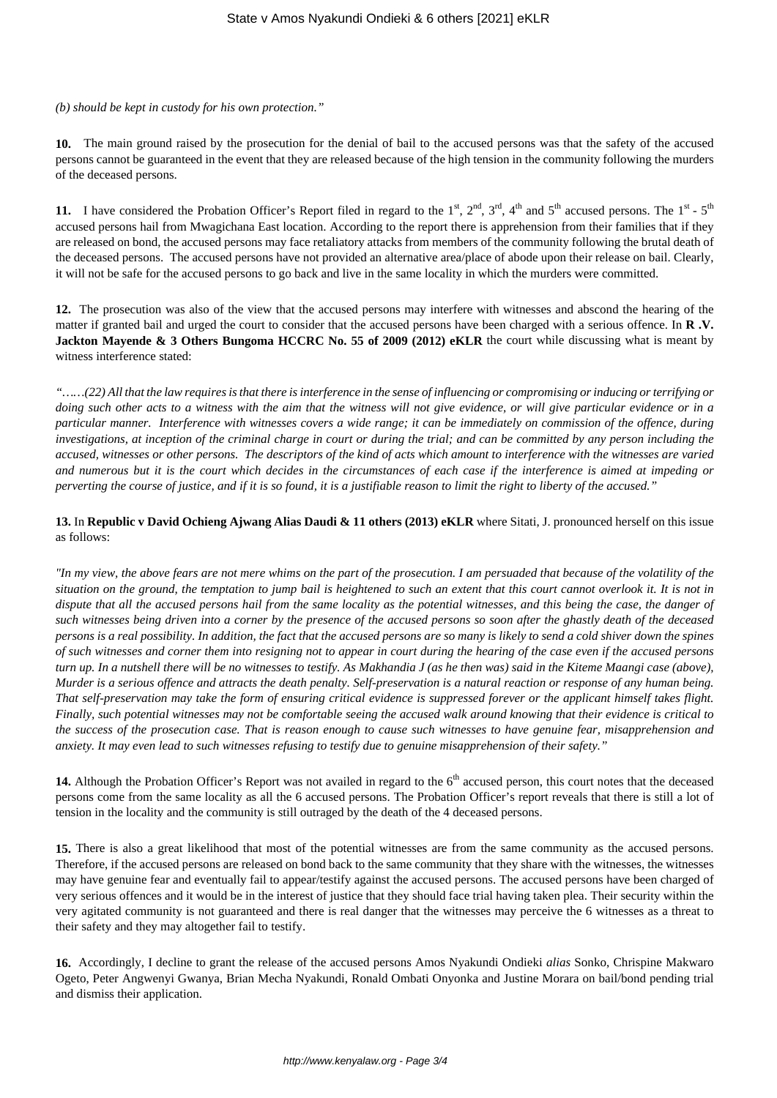*(b) should be kept in custody for his own protection."*

**10.** The main ground raised by the prosecution for the denial of bail to the accused persons was that the safety of the accused persons cannot be guaranteed in the event that they are released because of the high tension in the community following the murders of the deceased persons.

**11.** I have considered the Probation Officer's Report filed in regard to the  $1^{st}$ ,  $2^{nd}$ ,  $3^{rd}$ ,  $4^{th}$  and  $5^{th}$  accused persons. The  $1^{st}$  -  $5^{th}$ accused persons hail from Mwagichana East location. According to the report there is apprehension from their families that if they are released on bond, the accused persons may face retaliatory attacks from members of the community following the brutal death of the deceased persons. The accused persons have not provided an alternative area/place of abode upon their release on bail. Clearly, it will not be safe for the accused persons to go back and live in the same locality in which the murders were committed.

**12.** The prosecution was also of the view that the accused persons may interfere with witnesses and abscond the hearing of the matter if granted bail and urged the court to consider that the accused persons have been charged with a serious offence. In **R .V. Jackton Mayende & 3 Others Bungoma HCCRC No. 55 of 2009 (2012) eKLR** the court while discussing what is meant by witness interference stated:

*"……(22) All that the law requires is that there is interference in the sense of influencing or compromising or inducing or terrifying or doing such other acts to a witness with the aim that the witness will not give evidence, or will give particular evidence or in a particular manner. Interference with witnesses covers a wide range; it can be immediately on commission of the offence, during investigations, at inception of the criminal charge in court or during the trial; and can be committed by any person including the accused, witnesses or other persons. The descriptors of the kind of acts which amount to interference with the witnesses are varied and numerous but it is the court which decides in the circumstances of each case if the interference is aimed at impeding or perverting the course of justice, and if it is so found, it is a justifiable reason to limit the right to liberty of the accused."*

**13.** In **Republic v David Ochieng Ajwang Alias Daudi & 11 others (2013) eKLR** where Sitati, J. pronounced herself on this issue as follows:

*"In my view, the above fears are not mere whims on the part of the prosecution. I am persuaded that because of the volatility of the situation on the ground, the temptation to jump bail is heightened to such an extent that this court cannot overlook it. It is not in dispute that all the accused persons hail from the same locality as the potential witnesses, and this being the case, the danger of such witnesses being driven into a corner by the presence of the accused persons so soon after the ghastly death of the deceased persons is a real possibility. In addition, the fact that the accused persons are so many is likely to send a cold shiver down the spines of such witnesses and corner them into resigning not to appear in court during the hearing of the case even if the accused persons turn up. In a nutshell there will be no witnesses to testify. As Makhandia J (as he then was) said in the Kiteme Maangi case (above), Murder is a serious offence and attracts the death penalty. Self-preservation is a natural reaction or response of any human being. That self-preservation may take the form of ensuring critical evidence is suppressed forever or the applicant himself takes flight. Finally, such potential witnesses may not be comfortable seeing the accused walk around knowing that their evidence is critical to the success of the prosecution case. That is reason enough to cause such witnesses to have genuine fear, misapprehension and anxiety. It may even lead to such witnesses refusing to testify due to genuine misapprehension of their safety."*

14. Although the Probation Officer's Report was not availed in regard to the 6<sup>th</sup> accused person, this court notes that the deceased persons come from the same locality as all the 6 accused persons. The Probation Officer's report reveals that there is still a lot of tension in the locality and the community is still outraged by the death of the 4 deceased persons.

**15.** There is also a great likelihood that most of the potential witnesses are from the same community as the accused persons. Therefore, if the accused persons are released on bond back to the same community that they share with the witnesses, the witnesses may have genuine fear and eventually fail to appear/testify against the accused persons. The accused persons have been charged of very serious offences and it would be in the interest of justice that they should face trial having taken plea. Their security within the very agitated community is not guaranteed and there is real danger that the witnesses may perceive the 6 witnesses as a threat to their safety and they may altogether fail to testify.

**16.** Accordingly, I decline to grant the release of the accused persons Amos Nyakundi Ondieki *alias* Sonko, Chrispine Makwaro Ogeto, Peter Angwenyi Gwanya, Brian Mecha Nyakundi, Ronald Ombati Onyonka and Justine Morara on bail/bond pending trial and dismiss their application.